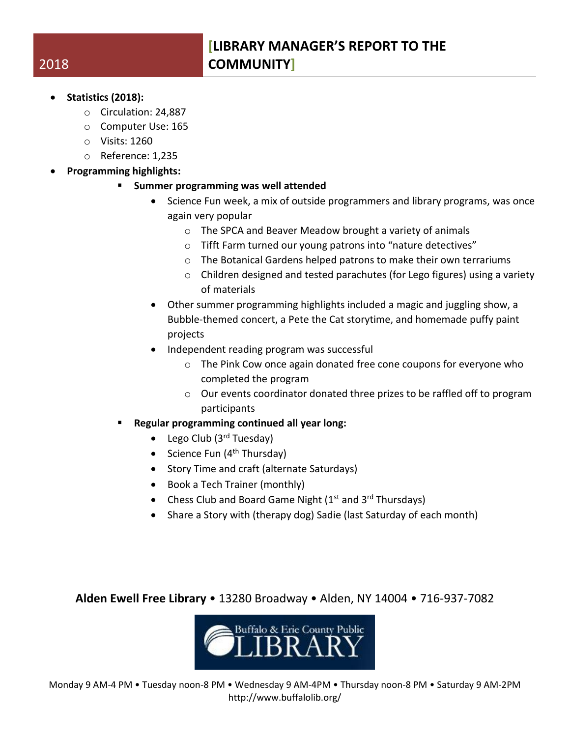- **Statistics (2018):**
	- o Circulation: 24,887
	- o Computer Use: 165
	- o Visits: 1260
	- o Reference: 1,235
- **Programming highlights:**
	- **Summer programming was well attended**
		- Science Fun week, a mix of outside programmers and library programs, was once again very popular
			- o The SPCA and Beaver Meadow brought a variety of animals
			- o Tifft Farm turned our young patrons into "nature detectives"
			- o The Botanical Gardens helped patrons to make their own terrariums
			- $\circ$  Children designed and tested parachutes (for Lego figures) using a variety of materials
		- Other summer programming highlights included a magic and juggling show, a Bubble-themed concert, a Pete the Cat storytime, and homemade puffy paint projects
		- Independent reading program was successful
			- o The Pink Cow once again donated free cone coupons for everyone who completed the program
			- o Our events coordinator donated three prizes to be raffled off to program participants
	- **Regular programming continued all year long:**
		- Lego Club  $(3<sup>rd</sup> Tuesday)$
		- Science Fun  $(4<sup>th</sup> Thursday)$
		- Story Time and craft (alternate Saturdays)
		- Book a Tech Trainer (monthly)
		- Chess Club and Board Game Night  $(1<sup>st</sup>$  and  $3<sup>rd</sup>$  Thursdays)
		- Share a Story with (therapy dog) Sadie (last Saturday of each month)

**Alden Ewell Free Library** • 13280 Broadway • Alden, NY 14004 • 716-937-7082



## 2018